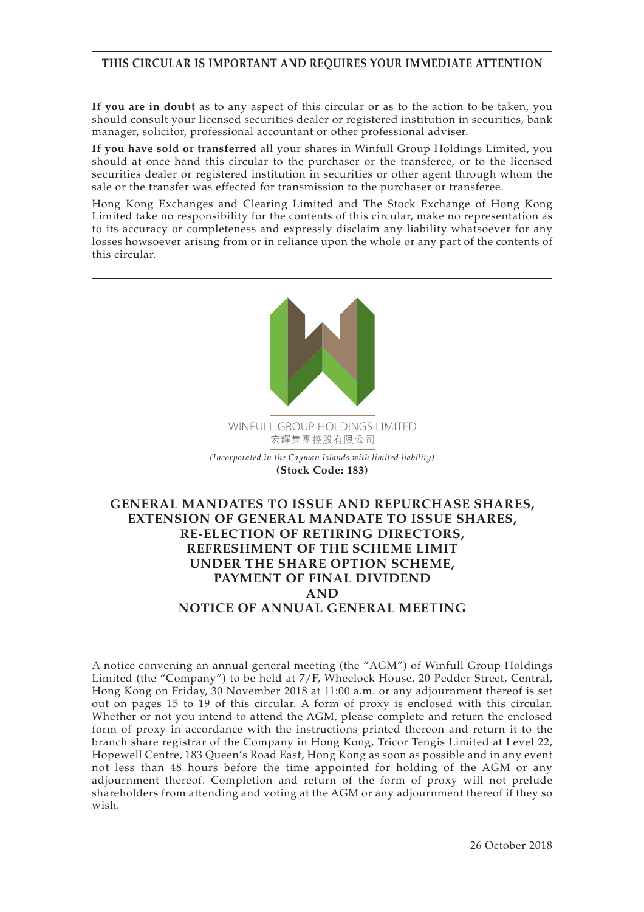# **THIS CIRCULAR IS IMPORTANT AND REQUIRES YOUR IMMEDIATE ATTENTION**

**If you are in doubt** as to any aspect of this circular or as to the action to be taken, you should consult your licensed securities dealer or registered institution in securities, bank manager, solicitor, professional accountant or other professional adviser.

**If you have sold or transferred** all your shares in Winfull Group Holdings Limited, you should at once hand this circular to the purchaser or the transferee, or to the licensed securities dealer or registered institution in securities or other agent through whom the sale or the transfer was effected for transmission to the purchaser or transferee.

Hong Kong Exchanges and Clearing Limited and The Stock Exchange of Hong Kong Limited take no responsibility for the contents of this circular, make no representation as to its accuracy or completeness and expressly disclaim any liability whatsoever for any losses howsoever arising from or in reliance upon the whole or any part of the contents of this circular.



WINFULL GROUP HOLDINGS LIMITED 宏輝集團控股有限公司

*(Incorporated in the Cayman Islands with limited liability)* **(Stock Code: 183)**

# **GENERAL MANDATES TO ISSUE AND REPURCHASE SHARES, EXTENSION OF GENERAL MANDATE TO ISSUE SHARES, RE-ELECTION OF RETIRING DIRECTORS, REFRESHMENT OF THE SCHEME LIMIT UNDER THE SHARE OPTION SCHEME, PAYMENT OF FINAL DIVIDEND AND NOTICE OF ANNUAL GENERAL MEETING**

A notice convening an annual general meeting (the "AGM") of Winfull Group Holdings Limited (the "Company") to be held at 7/F, Wheelock House, 20 Pedder Street, Central, Hong Kong on Friday, 30 November 2018 at 11:00 a.m. or any adjournment thereof is set out on pages 15 to 19 of this circular. A form of proxy is enclosed with this circular. Whether or not you intend to attend the AGM, please complete and return the enclosed form of proxy in accordance with the instructions printed thereon and return it to the branch share registrar of the Company in Hong Kong, Tricor Tengis Limited at Level 22, Hopewell Centre, 183 Queen's Road East, Hong Kong as soon as possible and in any event not less than 48 hours before the time appointed for holding of the AGM or any adjournment thereof. Completion and return of the form of proxy will not prelude shareholders from attending and voting at the AGM or any adjournment thereof if they so wish.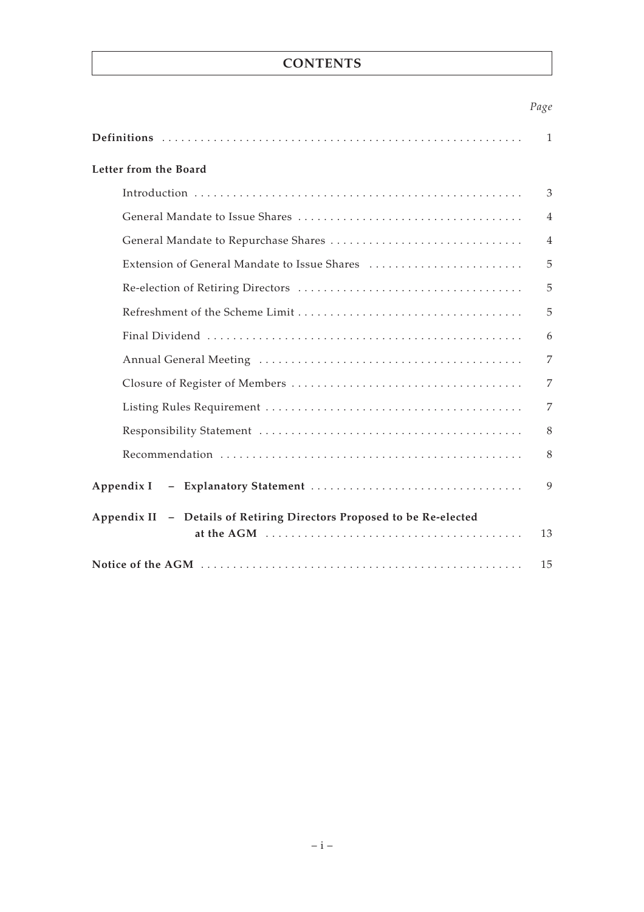# **CONTENTS**

# *Page*

|                                                                       | 1              |  |  |
|-----------------------------------------------------------------------|----------------|--|--|
| Letter from the Board                                                 |                |  |  |
|                                                                       | 3              |  |  |
|                                                                       | $\overline{4}$ |  |  |
|                                                                       | $\overline{4}$ |  |  |
|                                                                       | 5              |  |  |
|                                                                       | 5              |  |  |
|                                                                       | 5              |  |  |
|                                                                       | 6              |  |  |
|                                                                       | 7              |  |  |
|                                                                       | 7              |  |  |
|                                                                       | 7              |  |  |
|                                                                       | 8              |  |  |
|                                                                       | 8              |  |  |
| Appendix I                                                            | 9              |  |  |
| Appendix II - Details of Retiring Directors Proposed to be Re-elected |                |  |  |
|                                                                       | 13             |  |  |
|                                                                       | 15             |  |  |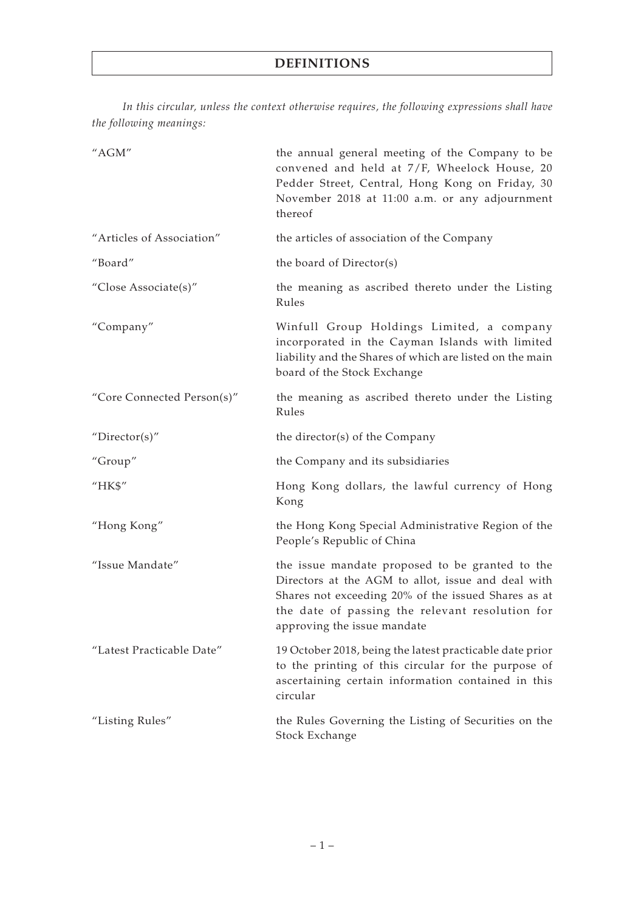*In this circular, unless the context otherwise requires, the following expressions shall have the following meanings:*

| "AGM"                      | the annual general meeting of the Company to be<br>convened and held at 7/F, Wheelock House, 20<br>Pedder Street, Central, Hong Kong on Friday, 30<br>November 2018 at 11:00 a.m. or any adjournment<br>thereof                                |
|----------------------------|------------------------------------------------------------------------------------------------------------------------------------------------------------------------------------------------------------------------------------------------|
| "Articles of Association"  | the articles of association of the Company                                                                                                                                                                                                     |
| "Board"                    | the board of Director(s)                                                                                                                                                                                                                       |
| "Close Associate(s)"       | the meaning as ascribed thereto under the Listing<br>Rules                                                                                                                                                                                     |
| "Company"                  | Winfull Group Holdings Limited, a company<br>incorporated in the Cayman Islands with limited<br>liability and the Shares of which are listed on the main<br>board of the Stock Exchange                                                        |
| "Core Connected Person(s)" | the meaning as ascribed thereto under the Listing<br>Rules                                                                                                                                                                                     |
| "Director(s)"              | the director(s) of the Company                                                                                                                                                                                                                 |
| "Group"                    | the Company and its subsidiaries                                                                                                                                                                                                               |
| "HK\$"                     | Hong Kong dollars, the lawful currency of Hong<br>Kong                                                                                                                                                                                         |
| "Hong Kong"                | the Hong Kong Special Administrative Region of the<br>People's Republic of China                                                                                                                                                               |
| "Issue Mandate"            | the issue mandate proposed to be granted to the<br>Directors at the AGM to allot, issue and deal with<br>Shares not exceeding 20% of the issued Shares as at<br>the date of passing the relevant resolution for<br>approving the issue mandate |
| "Latest Practicable Date"  | 19 October 2018, being the latest practicable date prior<br>to the printing of this circular for the purpose of<br>ascertaining certain information contained in this<br>circular                                                              |
| "Listing Rules"            | the Rules Governing the Listing of Securities on the<br>Stock Exchange                                                                                                                                                                         |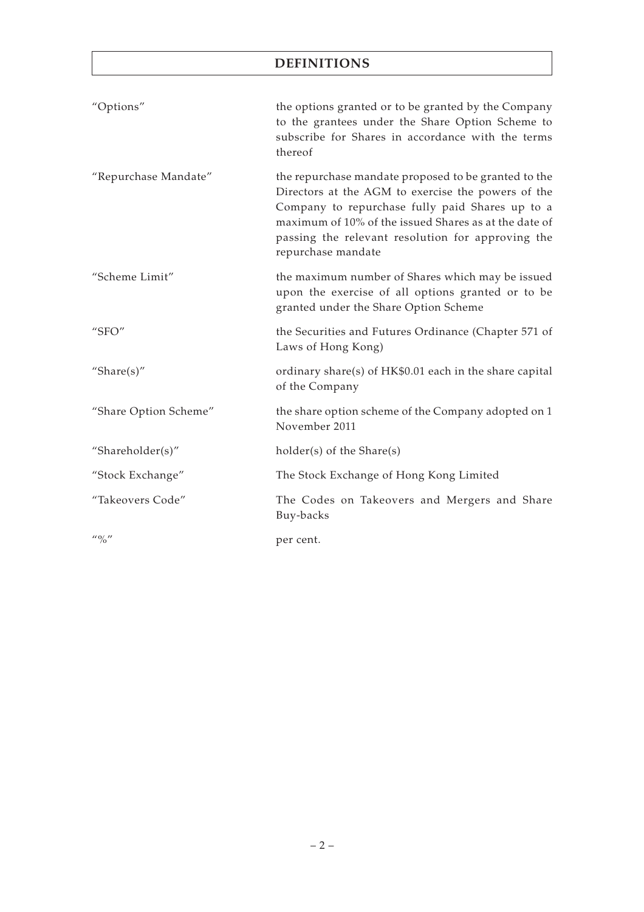# **DEFINITIONS**

| "Options"                                                                                                                                                                                                                                                                                                           | the options granted or to be granted by the Company<br>to the grantees under the Share Option Scheme to<br>subscribe for Shares in accordance with the terms<br>thereof                                                                                                                           |
|---------------------------------------------------------------------------------------------------------------------------------------------------------------------------------------------------------------------------------------------------------------------------------------------------------------------|---------------------------------------------------------------------------------------------------------------------------------------------------------------------------------------------------------------------------------------------------------------------------------------------------|
| "Repurchase Mandate"                                                                                                                                                                                                                                                                                                | the repurchase mandate proposed to be granted to the<br>Directors at the AGM to exercise the powers of the<br>Company to repurchase fully paid Shares up to a<br>maximum of 10% of the issued Shares as at the date of<br>passing the relevant resolution for approving the<br>repurchase mandate |
| "Scheme Limit"                                                                                                                                                                                                                                                                                                      | the maximum number of Shares which may be issued<br>upon the exercise of all options granted or to be<br>granted under the Share Option Scheme                                                                                                                                                    |
| " $SFO"$                                                                                                                                                                                                                                                                                                            | the Securities and Futures Ordinance (Chapter 571 of<br>Laws of Hong Kong)                                                                                                                                                                                                                        |
| "Share $(s)$ "                                                                                                                                                                                                                                                                                                      | ordinary share(s) of HK\$0.01 each in the share capital<br>of the Company                                                                                                                                                                                                                         |
| "Share Option Scheme"                                                                                                                                                                                                                                                                                               | the share option scheme of the Company adopted on 1<br>November 2011                                                                                                                                                                                                                              |
| "Shareholder(s)"                                                                                                                                                                                                                                                                                                    | holder(s) of the Share(s)                                                                                                                                                                                                                                                                         |
| "Stock Exchange"                                                                                                                                                                                                                                                                                                    | The Stock Exchange of Hong Kong Limited                                                                                                                                                                                                                                                           |
| "Takeovers Code"                                                                                                                                                                                                                                                                                                    | The Codes on Takeovers and Mergers and Share<br>Buy-backs                                                                                                                                                                                                                                         |
| $\frac{1}{2}$ $\frac{1}{2}$ $\frac{1}{2}$ $\frac{1}{2}$ $\frac{1}{2}$ $\frac{1}{2}$ $\frac{1}{2}$ $\frac{1}{2}$ $\frac{1}{2}$ $\frac{1}{2}$ $\frac{1}{2}$ $\frac{1}{2}$ $\frac{1}{2}$ $\frac{1}{2}$ $\frac{1}{2}$ $\frac{1}{2}$ $\frac{1}{2}$ $\frac{1}{2}$ $\frac{1}{2}$ $\frac{1}{2}$ $\frac{1}{2}$ $\frac{1}{2}$ | per cent.                                                                                                                                                                                                                                                                                         |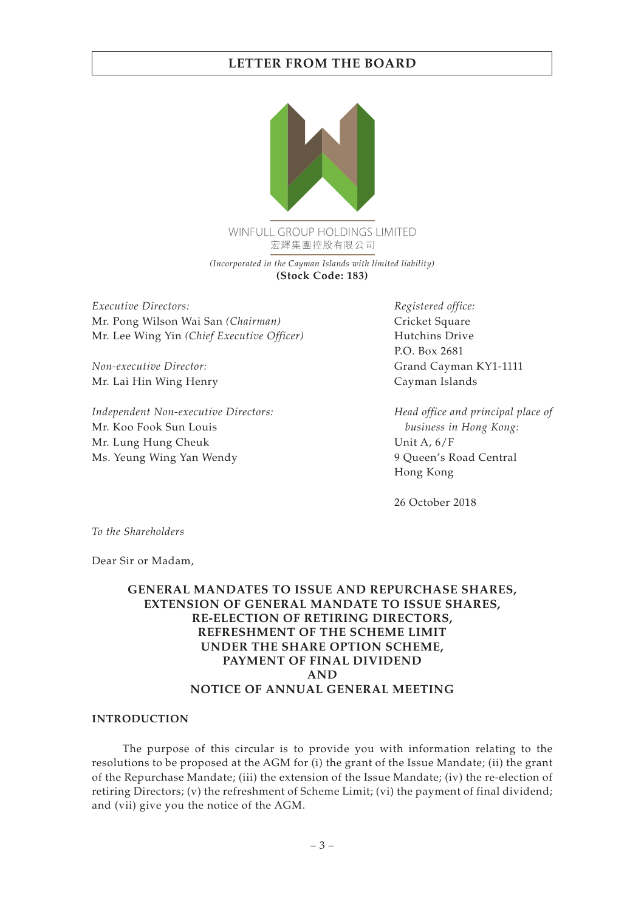

WINFULL GROUP HOLDINGS LIMITED 宏輝集團控股有限公司

*(Incorporated in the Cayman Islands with limited liability)* **(Stock Code: 183)**

*Executive Directors:* Mr. Pong Wilson Wai San *(Chairman)* Mr. Lee Wing Yin *(Chief Executive Officer)*

*Non-executive Director:* Mr. Lai Hin Wing Henry

*Independent Non-executive Directors:* Mr. Koo Fook Sun Louis Mr. Lung Hung Cheuk Ms. Yeung Wing Yan Wendy

*Registered office:* Cricket Square Hutchins Drive P.O. Box 2681 Grand Cayman KY1-1111 Cayman Islands

*Head office and principal place of business in Hong Kong:* Unit A, 6/F 9 Queen's Road Central Hong Kong

26 October 2018

*To the Shareholders*

Dear Sir or Madam,

# **GENERAL MANDATES TO ISSUE AND REPURCHASE SHARES, EXTENSION OF GENERAL MANDATE TO ISSUE SHARES, RE-ELECTION OF RETIRING DIRECTORS, REFRESHMENT OF THE SCHEME LIMIT UNDER THE SHARE OPTION SCHEME, PAYMENT OF FINAL DIVIDEND AND NOTICE OF ANNUAL GENERAL MEETING**

#### **INTRODUCTION**

The purpose of this circular is to provide you with information relating to the resolutions to be proposed at the AGM for (i) the grant of the Issue Mandate; (ii) the grant of the Repurchase Mandate; (iii) the extension of the Issue Mandate; (iv) the re-election of retiring Directors; (v) the refreshment of Scheme Limit; (vi) the payment of final dividend; and (vii) give you the notice of the AGM.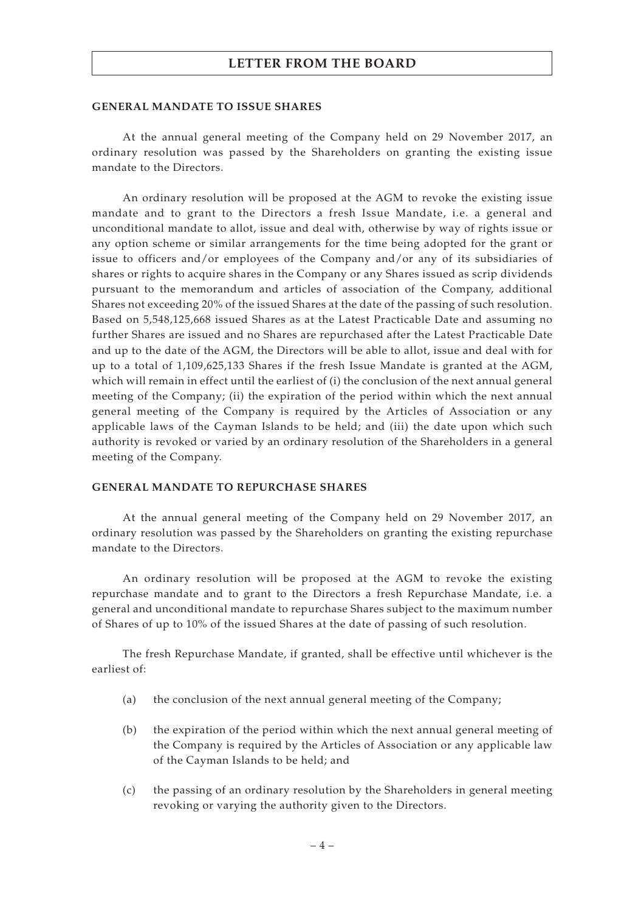#### **GENERAL MANDATE TO ISSUE SHARES**

At the annual general meeting of the Company held on 29 November 2017, an ordinary resolution was passed by the Shareholders on granting the existing issue mandate to the Directors.

An ordinary resolution will be proposed at the AGM to revoke the existing issue mandate and to grant to the Directors a fresh Issue Mandate, i.e. a general and unconditional mandate to allot, issue and deal with, otherwise by way of rights issue or any option scheme or similar arrangements for the time being adopted for the grant or issue to officers and/or employees of the Company and/or any of its subsidiaries of shares or rights to acquire shares in the Company or any Shares issued as scrip dividends pursuant to the memorandum and articles of association of the Company, additional Shares not exceeding 20% of the issued Shares at the date of the passing of such resolution. Based on 5,548,125,668 issued Shares as at the Latest Practicable Date and assuming no further Shares are issued and no Shares are repurchased after the Latest Practicable Date and up to the date of the AGM, the Directors will be able to allot, issue and deal with for up to a total of 1,109,625,133 Shares if the fresh Issue Mandate is granted at the AGM, which will remain in effect until the earliest of (i) the conclusion of the next annual general meeting of the Company; (ii) the expiration of the period within which the next annual general meeting of the Company is required by the Articles of Association or any applicable laws of the Cayman Islands to be held; and (iii) the date upon which such authority is revoked or varied by an ordinary resolution of the Shareholders in a general meeting of the Company.

#### **GENERAL MANDATE TO REPURCHASE SHARES**

At the annual general meeting of the Company held on 29 November 2017, an ordinary resolution was passed by the Shareholders on granting the existing repurchase mandate to the Directors.

An ordinary resolution will be proposed at the AGM to revoke the existing repurchase mandate and to grant to the Directors a fresh Repurchase Mandate, i.e. a general and unconditional mandate to repurchase Shares subject to the maximum number of Shares of up to 10% of the issued Shares at the date of passing of such resolution.

The fresh Repurchase Mandate, if granted, shall be effective until whichever is the earliest of:

- (a) the conclusion of the next annual general meeting of the Company;
- (b) the expiration of the period within which the next annual general meeting of the Company is required by the Articles of Association or any applicable law of the Cayman Islands to be held; and
- (c) the passing of an ordinary resolution by the Shareholders in general meeting revoking or varying the authority given to the Directors.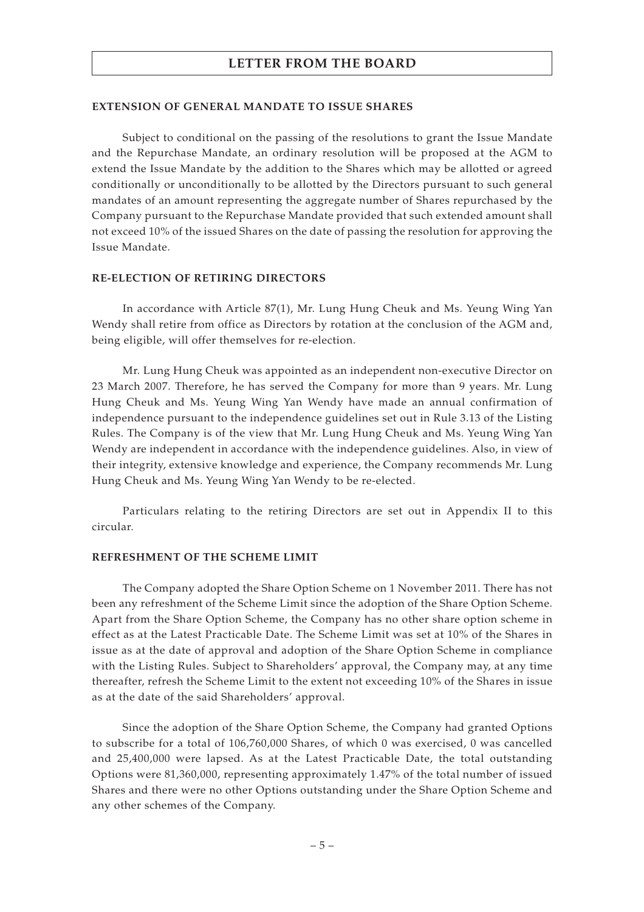#### **EXTENSION OF GENERAL MANDATE TO ISSUE SHARES**

Subject to conditional on the passing of the resolutions to grant the Issue Mandate and the Repurchase Mandate, an ordinary resolution will be proposed at the AGM to extend the Issue Mandate by the addition to the Shares which may be allotted or agreed conditionally or unconditionally to be allotted by the Directors pursuant to such general mandates of an amount representing the aggregate number of Shares repurchased by the Company pursuant to the Repurchase Mandate provided that such extended amount shall not exceed 10% of the issued Shares on the date of passing the resolution for approving the Issue Mandate.

#### **RE-ELECTION OF RETIRING DIRECTORS**

In accordance with Article 87(1), Mr. Lung Hung Cheuk and Ms. Yeung Wing Yan Wendy shall retire from office as Directors by rotation at the conclusion of the AGM and, being eligible, will offer themselves for re-election.

Mr. Lung Hung Cheuk was appointed as an independent non-executive Director on 23 March 2007. Therefore, he has served the Company for more than 9 years. Mr. Lung Hung Cheuk and Ms. Yeung Wing Yan Wendy have made an annual confirmation of independence pursuant to the independence guidelines set out in Rule 3.13 of the Listing Rules. The Company is of the view that Mr. Lung Hung Cheuk and Ms. Yeung Wing Yan Wendy are independent in accordance with the independence guidelines. Also, in view of their integrity, extensive knowledge and experience, the Company recommends Mr. Lung Hung Cheuk and Ms. Yeung Wing Yan Wendy to be re-elected.

Particulars relating to the retiring Directors are set out in Appendix II to this circular.

#### **REFRESHMENT OF THE SCHEME LIMIT**

The Company adopted the Share Option Scheme on 1 November 2011. There has not been any refreshment of the Scheme Limit since the adoption of the Share Option Scheme. Apart from the Share Option Scheme, the Company has no other share option scheme in effect as at the Latest Practicable Date. The Scheme Limit was set at 10% of the Shares in issue as at the date of approval and adoption of the Share Option Scheme in compliance with the Listing Rules. Subject to Shareholders' approval, the Company may, at any time thereafter, refresh the Scheme Limit to the extent not exceeding 10% of the Shares in issue as at the date of the said Shareholders' approval.

Since the adoption of the Share Option Scheme, the Company had granted Options to subscribe for a total of 106,760,000 Shares, of which 0 was exercised, 0 was cancelled and 25,400,000 were lapsed. As at the Latest Practicable Date, the total outstanding Options were 81,360,000, representing approximately 1.47% of the total number of issued Shares and there were no other Options outstanding under the Share Option Scheme and any other schemes of the Company.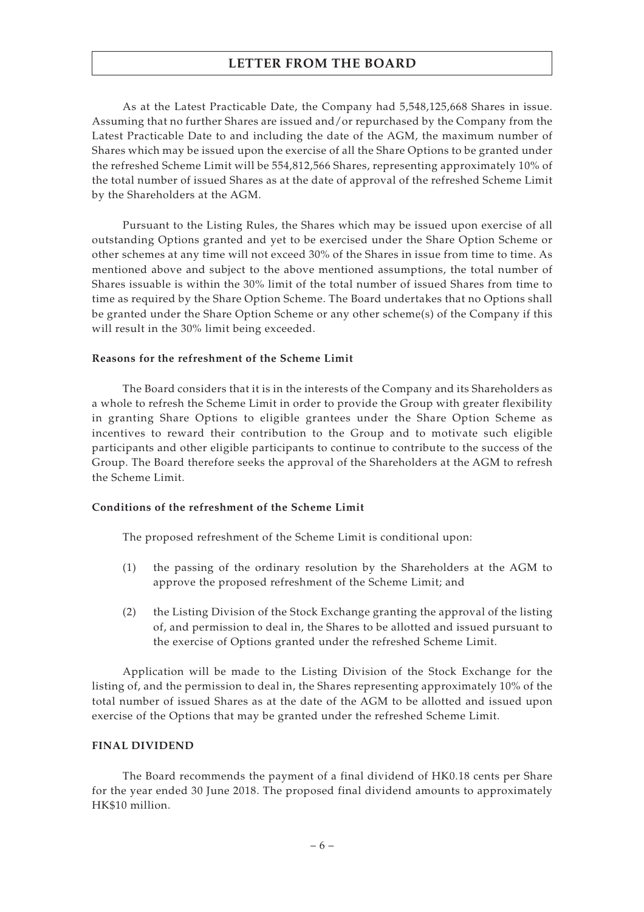As at the Latest Practicable Date, the Company had 5,548,125,668 Shares in issue. Assuming that no further Shares are issued and/or repurchased by the Company from the Latest Practicable Date to and including the date of the AGM, the maximum number of Shares which may be issued upon the exercise of all the Share Options to be granted under the refreshed Scheme Limit will be 554,812,566 Shares, representing approximately 10% of the total number of issued Shares as at the date of approval of the refreshed Scheme Limit by the Shareholders at the AGM.

Pursuant to the Listing Rules, the Shares which may be issued upon exercise of all outstanding Options granted and yet to be exercised under the Share Option Scheme or other schemes at any time will not exceed 30% of the Shares in issue from time to time. As mentioned above and subject to the above mentioned assumptions, the total number of Shares issuable is within the 30% limit of the total number of issued Shares from time to time as required by the Share Option Scheme. The Board undertakes that no Options shall be granted under the Share Option Scheme or any other scheme(s) of the Company if this will result in the 30% limit being exceeded.

## **Reasons for the refreshment of the Scheme Limit**

The Board considers that it is in the interests of the Company and its Shareholders as a whole to refresh the Scheme Limit in order to provide the Group with greater flexibility in granting Share Options to eligible grantees under the Share Option Scheme as incentives to reward their contribution to the Group and to motivate such eligible participants and other eligible participants to continue to contribute to the success of the Group. The Board therefore seeks the approval of the Shareholders at the AGM to refresh the Scheme Limit.

## **Conditions of the refreshment of the Scheme Limit**

The proposed refreshment of the Scheme Limit is conditional upon:

- (1) the passing of the ordinary resolution by the Shareholders at the AGM to approve the proposed refreshment of the Scheme Limit; and
- (2) the Listing Division of the Stock Exchange granting the approval of the listing of, and permission to deal in, the Shares to be allotted and issued pursuant to the exercise of Options granted under the refreshed Scheme Limit.

Application will be made to the Listing Division of the Stock Exchange for the listing of, and the permission to deal in, the Shares representing approximately 10% of the total number of issued Shares as at the date of the AGM to be allotted and issued upon exercise of the Options that may be granted under the refreshed Scheme Limit.

### **FINAL DIVIDEND**

The Board recommends the payment of a final dividend of HK0.18 cents per Share for the year ended 30 June 2018. The proposed final dividend amounts to approximately HK\$10 million.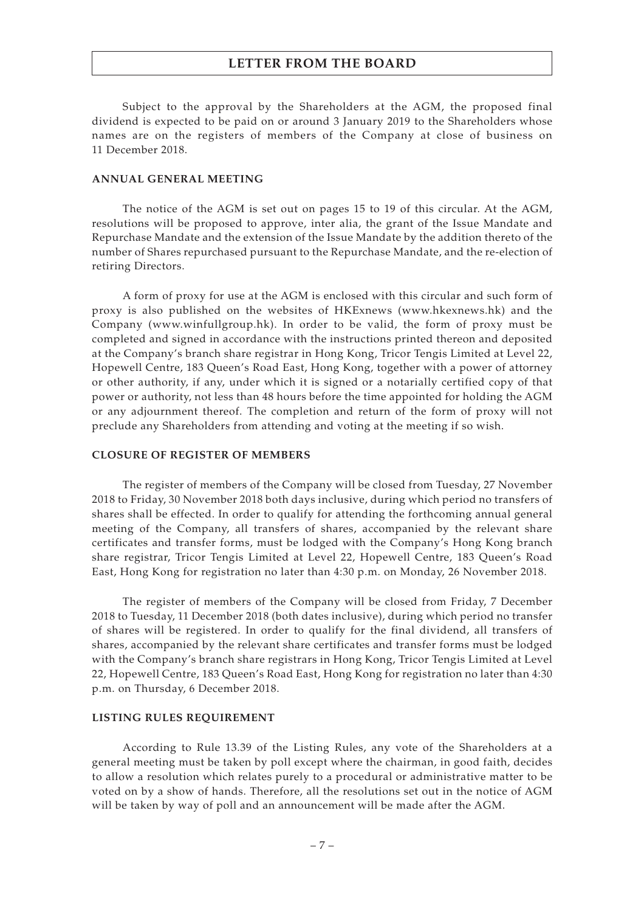Subject to the approval by the Shareholders at the AGM, the proposed final dividend is expected to be paid on or around 3 January 2019 to the Shareholders whose names are on the registers of members of the Company at close of business on 11 December 2018.

#### **ANNUAL GENERAL MEETING**

The notice of the AGM is set out on pages 15 to 19 of this circular. At the AGM, resolutions will be proposed to approve, inter alia, the grant of the Issue Mandate and Repurchase Mandate and the extension of the Issue Mandate by the addition thereto of the number of Shares repurchased pursuant to the Repurchase Mandate, and the re-election of retiring Directors.

A form of proxy for use at the AGM is enclosed with this circular and such form of proxy is also published on the websites of HKExnews (<www.hkexnews.hk>) and the Company (<www.winfullgroup.hk>). In order to be valid, the form of proxy must be completed and signed in accordance with the instructions printed thereon and deposited at the Company's branch share registrar in Hong Kong, Tricor Tengis Limited at Level 22, Hopewell Centre, 183 Queen's Road East, Hong Kong, together with a power of attorney or other authority, if any, under which it is signed or a notarially certified copy of that power or authority, not less than 48 hours before the time appointed for holding the AGM or any adjournment thereof. The completion and return of the form of proxy will not preclude any Shareholders from attending and voting at the meeting if so wish.

#### **CLOSURE OF REGISTER OF MEMBERS**

The register of members of the Company will be closed from Tuesday, 27 November 2018 to Friday, 30 November 2018 both days inclusive, during which period no transfers of shares shall be effected. In order to qualify for attending the forthcoming annual general meeting of the Company, all transfers of shares, accompanied by the relevant share certificates and transfer forms, must be lodged with the Company's Hong Kong branch share registrar, Tricor Tengis Limited at Level 22, Hopewell Centre, 183 Queen's Road East, Hong Kong for registration no later than 4:30 p.m. on Monday, 26 November 2018.

The register of members of the Company will be closed from Friday, 7 December 2018 to Tuesday, 11 December 2018 (both dates inclusive), during which period no transfer of shares will be registered. In order to qualify for the final dividend, all transfers of shares, accompanied by the relevant share certificates and transfer forms must be lodged with the Company's branch share registrars in Hong Kong, Tricor Tengis Limited at Level 22, Hopewell Centre, 183 Queen's Road East, Hong Kong for registration no later than 4:30 p.m. on Thursday, 6 December 2018.

#### **LISTING RULES REQUIREMENT**

According to Rule 13.39 of the Listing Rules, any vote of the Shareholders at a general meeting must be taken by poll except where the chairman, in good faith, decides to allow a resolution which relates purely to a procedural or administrative matter to be voted on by a show of hands. Therefore, all the resolutions set out in the notice of AGM will be taken by way of poll and an announcement will be made after the AGM.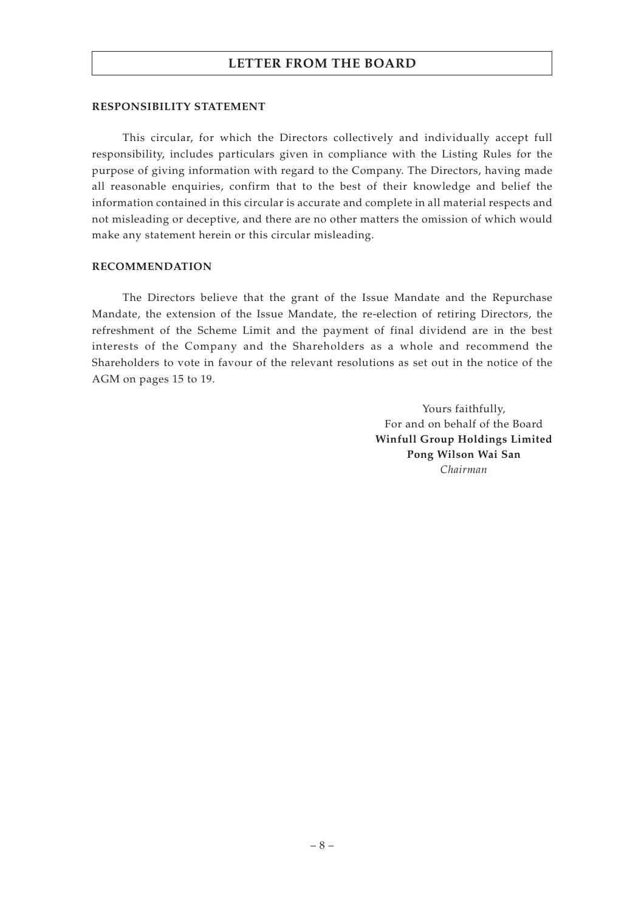#### **RESPONSIBILITY STATEMENT**

This circular, for which the Directors collectively and individually accept full responsibility, includes particulars given in compliance with the Listing Rules for the purpose of giving information with regard to the Company. The Directors, having made all reasonable enquiries, confirm that to the best of their knowledge and belief the information contained in this circular is accurate and complete in all material respects and not misleading or deceptive, and there are no other matters the omission of which would make any statement herein or this circular misleading.

#### **RECOMMENDATION**

The Directors believe that the grant of the Issue Mandate and the Repurchase Mandate, the extension of the Issue Mandate, the re-election of retiring Directors, the refreshment of the Scheme Limit and the payment of final dividend are in the best interests of the Company and the Shareholders as a whole and recommend the Shareholders to vote in favour of the relevant resolutions as set out in the notice of the AGM on pages 15 to 19.

> Yours faithfully, For and on behalf of the Board **Winfull Group Holdings Limited Pong Wilson Wai San** *Chairman*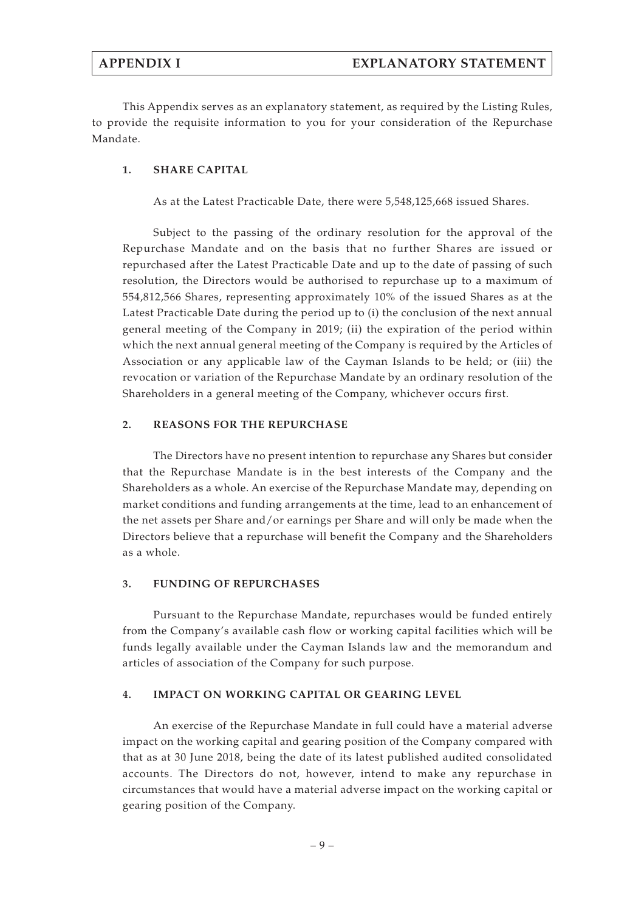This Appendix serves as an explanatory statement, as required by the Listing Rules, to provide the requisite information to you for your consideration of the Repurchase Mandate.

## **1. SHARE CAPITAL**

As at the Latest Practicable Date, there were 5,548,125,668 issued Shares.

Subject to the passing of the ordinary resolution for the approval of the Repurchase Mandate and on the basis that no further Shares are issued or repurchased after the Latest Practicable Date and up to the date of passing of such resolution, the Directors would be authorised to repurchase up to a maximum of 554,812,566 Shares, representing approximately 10% of the issued Shares as at the Latest Practicable Date during the period up to (i) the conclusion of the next annual general meeting of the Company in 2019; (ii) the expiration of the period within which the next annual general meeting of the Company is required by the Articles of Association or any applicable law of the Cayman Islands to be held; or (iii) the revocation or variation of the Repurchase Mandate by an ordinary resolution of the Shareholders in a general meeting of the Company, whichever occurs first.

## **2. REASONS FOR THE REPURCHASE**

The Directors have no present intention to repurchase any Shares but consider that the Repurchase Mandate is in the best interests of the Company and the Shareholders as a whole. An exercise of the Repurchase Mandate may, depending on market conditions and funding arrangements at the time, lead to an enhancement of the net assets per Share and/or earnings per Share and will only be made when the Directors believe that a repurchase will benefit the Company and the Shareholders as a whole.

## **3. FUNDING OF REPURCHASES**

Pursuant to the Repurchase Mandate, repurchases would be funded entirely from the Company's available cash flow or working capital facilities which will be funds legally available under the Cayman Islands law and the memorandum and articles of association of the Company for such purpose.

### **4. IMPACT ON WORKING CAPITAL OR GEARING LEVEL**

An exercise of the Repurchase Mandate in full could have a material adverse impact on the working capital and gearing position of the Company compared with that as at 30 June 2018, being the date of its latest published audited consolidated accounts. The Directors do not, however, intend to make any repurchase in circumstances that would have a material adverse impact on the working capital or gearing position of the Company.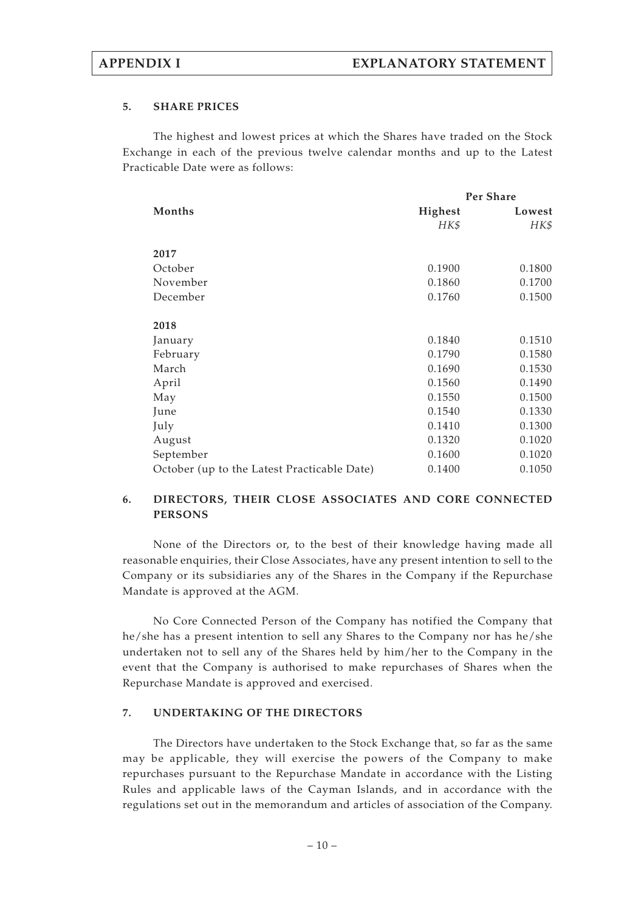## **5. SHARE PRICES**

The highest and lowest prices at which the Shares have traded on the Stock Exchange in each of the previous twelve calendar months and up to the Latest Practicable Date were as follows:

|                                             | Per Share |        |
|---------------------------------------------|-----------|--------|
| Months                                      | Highest   | Lowest |
|                                             | HK\$      | HK\$   |
| 2017                                        |           |        |
| October                                     | 0.1900    | 0.1800 |
| November                                    | 0.1860    | 0.1700 |
| December                                    | 0.1760    | 0.1500 |
| 2018                                        |           |        |
| January                                     | 0.1840    | 0.1510 |
| February                                    | 0.1790    | 0.1580 |
| March                                       | 0.1690    | 0.1530 |
| April                                       | 0.1560    | 0.1490 |
| May                                         | 0.1550    | 0.1500 |
| June                                        | 0.1540    | 0.1330 |
| July                                        | 0.1410    | 0.1300 |
| August                                      | 0.1320    | 0.1020 |
| September                                   | 0.1600    | 0.1020 |
| October (up to the Latest Practicable Date) | 0.1400    | 0.1050 |

# **6. DIRECTORS, THEIR CLOSE ASSOCIATES AND CORE CONNECTED PERSONS**

None of the Directors or, to the best of their knowledge having made all reasonable enquiries, their Close Associates, have any present intention to sell to the Company or its subsidiaries any of the Shares in the Company if the Repurchase Mandate is approved at the AGM.

No Core Connected Person of the Company has notified the Company that he/she has a present intention to sell any Shares to the Company nor has he/she undertaken not to sell any of the Shares held by him/her to the Company in the event that the Company is authorised to make repurchases of Shares when the Repurchase Mandate is approved and exercised.

## **7. UNDERTAKING OF THE DIRECTORS**

The Directors have undertaken to the Stock Exchange that, so far as the same may be applicable, they will exercise the powers of the Company to make repurchases pursuant to the Repurchase Mandate in accordance with the Listing Rules and applicable laws of the Cayman Islands, and in accordance with the regulations set out in the memorandum and articles of association of the Company.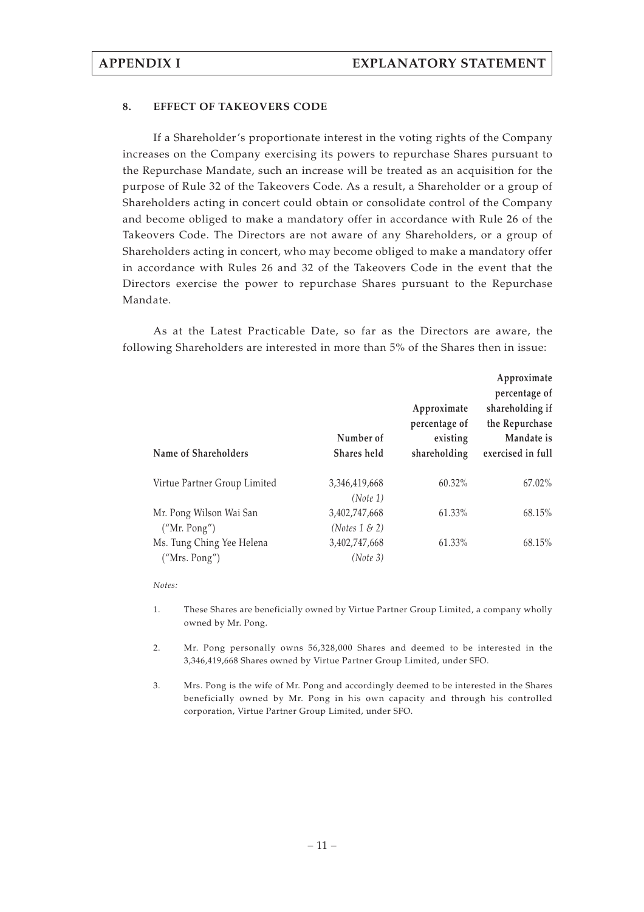## **8. EFFECT OF TAKEOVERS CODE**

If a Shareholder's proportionate interest in the voting rights of the Company increases on the Company exercising its powers to repurchase Shares pursuant to the Repurchase Mandate, such an increase will be treated as an acquisition for the purpose of Rule 32 of the Takeovers Code. As a result, a Shareholder or a group of Shareholders acting in concert could obtain or consolidate control of the Company and become obliged to make a mandatory offer in accordance with Rule 26 of the Takeovers Code. The Directors are not aware of any Shareholders, or a group of Shareholders acting in concert, who may become obliged to make a mandatory offer in accordance with Rules 26 and 32 of the Takeovers Code in the event that the Directors exercise the power to repurchase Shares pursuant to the Repurchase Mandate.

As at the Latest Practicable Date, so far as the Directors are aware, the following Shareholders are interested in more than 5% of the Shares then in issue:

| Name of Shareholders         | Number of<br>Shares held | Approximate<br>percentage of<br>existing<br>shareholding | Approximate<br>percentage of<br>shareholding if<br>the Repurchase<br>Mandate is<br>exercised in full |
|------------------------------|--------------------------|----------------------------------------------------------|------------------------------------------------------------------------------------------------------|
| Virtue Partner Group Limited | 3,346,419,668            | 60.32%                                                   | $67.02\%$                                                                                            |
|                              | (Note 1)                 |                                                          |                                                                                                      |
| Mr. Pong Wilson Wai San      | 3,402,747,668            | 61.33%                                                   | 68.15%                                                                                               |
| ("Mr. Pong")                 | (Notes $1 \& 2$ )        |                                                          |                                                                                                      |
| Ms. Tung Ching Yee Helena    | 3,402,747,668            | 61.33%                                                   | 68.15%                                                                                               |
| ("Mrs. Pong")                | (Note 3)                 |                                                          |                                                                                                      |

*Notes:*

- 1. These Shares are beneficially owned by Virtue Partner Group Limited, a company wholly owned by Mr. Pong.
- 2. Mr. Pong personally owns 56,328,000 Shares and deemed to be interested in the 3,346,419,668 Shares owned by Virtue Partner Group Limited, under SFO.
- 3. Mrs. Pong is the wife of Mr. Pong and accordingly deemed to be interested in the Shares beneficially owned by Mr. Pong in his own capacity and through his controlled corporation, Virtue Partner Group Limited, under SFO.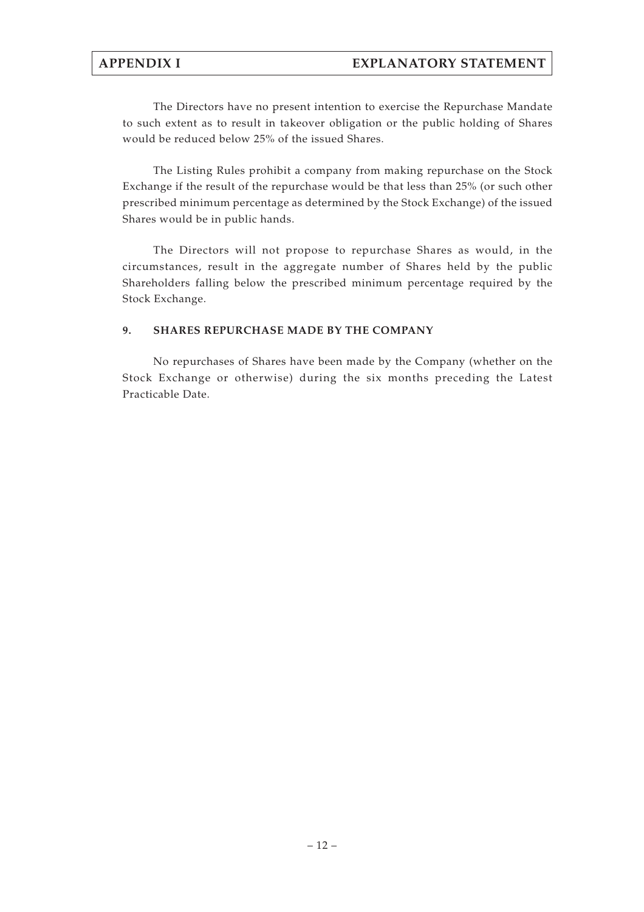The Directors have no present intention to exercise the Repurchase Mandate to such extent as to result in takeover obligation or the public holding of Shares would be reduced below 25% of the issued Shares.

The Listing Rules prohibit a company from making repurchase on the Stock Exchange if the result of the repurchase would be that less than 25% (or such other prescribed minimum percentage as determined by the Stock Exchange) of the issued Shares would be in public hands.

The Directors will not propose to repurchase Shares as would, in the circumstances, result in the aggregate number of Shares held by the public Shareholders falling below the prescribed minimum percentage required by the Stock Exchange.

# **9. SHARES REPURCHASE MADE BY THE COMPANY**

No repurchases of Shares have been made by the Company (whether on the Stock Exchange or otherwise) during the six months preceding the Latest Practicable Date.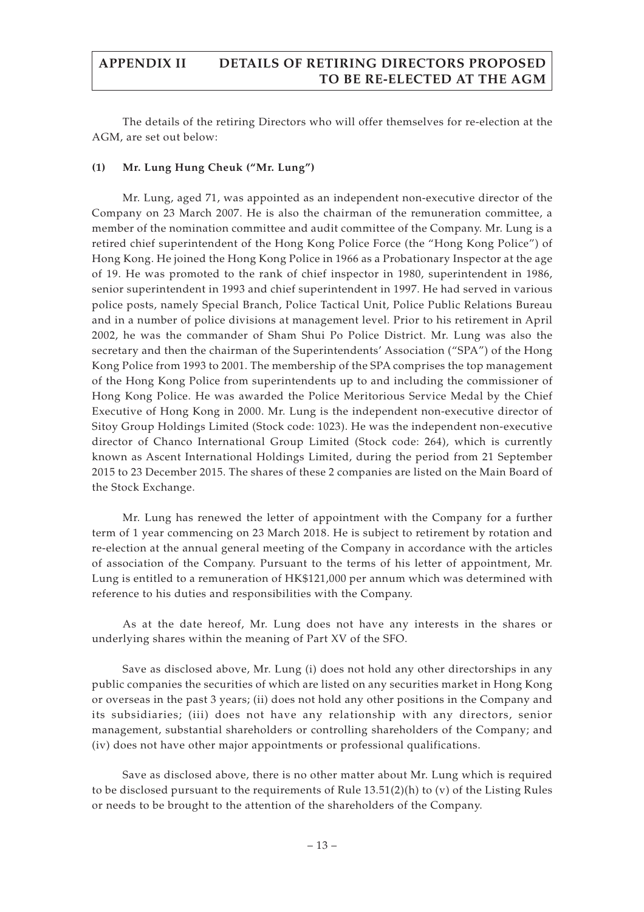# **APPENDIX II DETAILS OF RETIRING DIRECTORS PROPOSED TO BE RE-ELECTED AT THE AGM**

The details of the retiring Directors who will offer themselves for re-election at the AGM, are set out below:

# **(1) Mr. Lung Hung Cheuk ("Mr. Lung")**

Mr. Lung, aged 71, was appointed as an independent non-executive director of the Company on 23 March 2007. He is also the chairman of the remuneration committee, a member of the nomination committee and audit committee of the Company. Mr. Lung is a retired chief superintendent of the Hong Kong Police Force (the "Hong Kong Police") of Hong Kong. He joined the Hong Kong Police in 1966 as a Probationary Inspector at the age of 19. He was promoted to the rank of chief inspector in 1980, superintendent in 1986, senior superintendent in 1993 and chief superintendent in 1997. He had served in various police posts, namely Special Branch, Police Tactical Unit, Police Public Relations Bureau and in a number of police divisions at management level. Prior to his retirement in April 2002, he was the commander of Sham Shui Po Police District. Mr. Lung was also the secretary and then the chairman of the Superintendents' Association ("SPA") of the Hong Kong Police from 1993 to 2001. The membership of the SPA comprises the top management of the Hong Kong Police from superintendents up to and including the commissioner of Hong Kong Police. He was awarded the Police Meritorious Service Medal by the Chief Executive of Hong Kong in 2000. Mr. Lung is the independent non-executive director of Sitoy Group Holdings Limited (Stock code: 1023). He was the independent non-executive director of Chanco International Group Limited (Stock code: 264), which is currently known as Ascent International Holdings Limited, during the period from 21 September 2015 to 23 December 2015. The shares of these 2 companies are listed on the Main Board of the Stock Exchange.

Mr. Lung has renewed the letter of appointment with the Company for a further term of 1 year commencing on 23 March 2018. He is subject to retirement by rotation and re-election at the annual general meeting of the Company in accordance with the articles of association of the Company. Pursuant to the terms of his letter of appointment, Mr. Lung is entitled to a remuneration of HK\$121,000 per annum which was determined with reference to his duties and responsibilities with the Company.

As at the date hereof, Mr. Lung does not have any interests in the shares or underlying shares within the meaning of Part XV of the SFO.

Save as disclosed above, Mr. Lung (i) does not hold any other directorships in any public companies the securities of which are listed on any securities market in Hong Kong or overseas in the past 3 years; (ii) does not hold any other positions in the Company and its subsidiaries; (iii) does not have any relationship with any directors, senior management, substantial shareholders or controlling shareholders of the Company; and (iv) does not have other major appointments or professional qualifications.

Save as disclosed above, there is no other matter about Mr. Lung which is required to be disclosed pursuant to the requirements of Rule  $13.51(2)(h)$  to (v) of the Listing Rules or needs to be brought to the attention of the shareholders of the Company.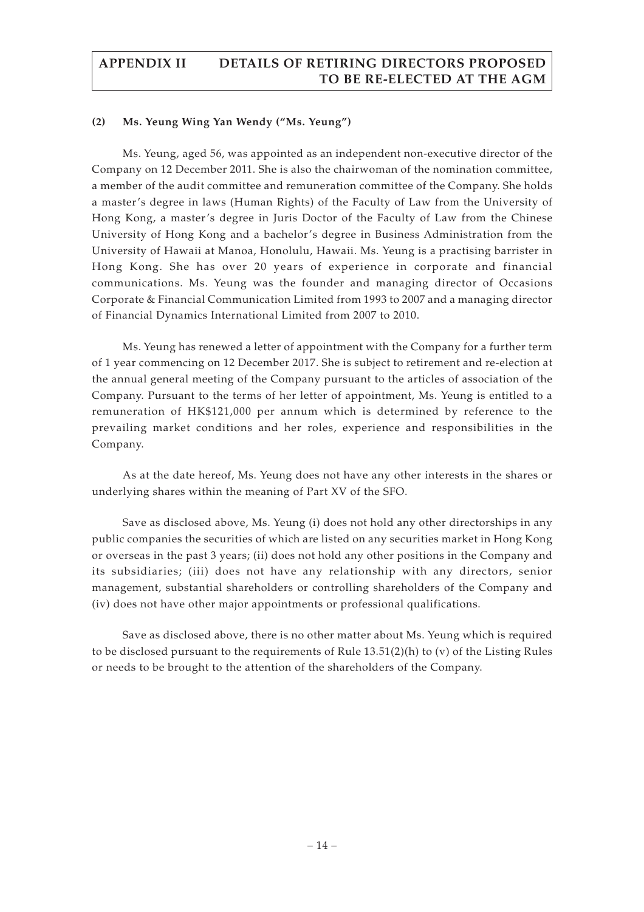# **APPENDIX II DETAILS OF RETIRING DIRECTORS PROPOSED TO BE RE-ELECTED AT THE AGM**

## **(2) Ms. Yeung Wing Yan Wendy ("Ms. Yeung")**

Ms. Yeung, aged 56, was appointed as an independent non-executive director of the Company on 12 December 2011. She is also the chairwoman of the nomination committee, a member of the audit committee and remuneration committee of the Company. She holds a master's degree in laws (Human Rights) of the Faculty of Law from the University of Hong Kong, a master's degree in Juris Doctor of the Faculty of Law from the Chinese University of Hong Kong and a bachelor's degree in Business Administration from the University of Hawaii at Manoa, Honolulu, Hawaii. Ms. Yeung is a practising barrister in Hong Kong. She has over 20 years of experience in corporate and financial communications. Ms. Yeung was the founder and managing director of Occasions Corporate & Financial Communication Limited from 1993 to 2007 and a managing director of Financial Dynamics International Limited from 2007 to 2010.

Ms. Yeung has renewed a letter of appointment with the Company for a further term of 1 year commencing on 12 December 2017. She is subject to retirement and re-election at the annual general meeting of the Company pursuant to the articles of association of the Company. Pursuant to the terms of her letter of appointment, Ms. Yeung is entitled to a remuneration of HK\$121,000 per annum which is determined by reference to the prevailing market conditions and her roles, experience and responsibilities in the Company.

As at the date hereof, Ms. Yeung does not have any other interests in the shares or underlying shares within the meaning of Part XV of the SFO.

Save as disclosed above, Ms. Yeung (i) does not hold any other directorships in any public companies the securities of which are listed on any securities market in Hong Kong or overseas in the past 3 years; (ii) does not hold any other positions in the Company and its subsidiaries; (iii) does not have any relationship with any directors, senior management, substantial shareholders or controlling shareholders of the Company and (iv) does not have other major appointments or professional qualifications.

Save as disclosed above, there is no other matter about Ms. Yeung which is required to be disclosed pursuant to the requirements of Rule 13.51(2)(h) to (v) of the Listing Rules or needs to be brought to the attention of the shareholders of the Company.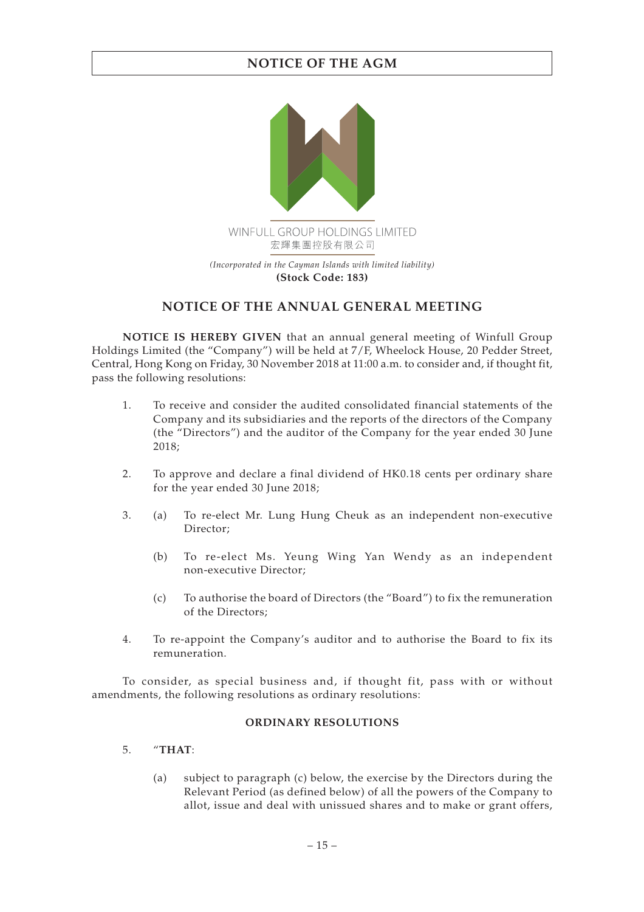# **NOTICE OF THE AGM**



# **NOTICE OF THE ANNUAL GENERAL MEETING**

**NOTICE IS HEREBY GIVEN** that an annual general meeting of Winfull Group Holdings Limited (the "Company") will be held at 7/F, Wheelock House, 20 Pedder Street, Central, Hong Kong on Friday, 30 November 2018 at 11:00 a.m. to consider and, if thought fit, pass the following resolutions:

- 1. To receive and consider the audited consolidated financial statements of the Company and its subsidiaries and the reports of the directors of the Company (the "Directors") and the auditor of the Company for the year ended 30 June 2018;
- 2. To approve and declare a final dividend of HK0.18 cents per ordinary share for the year ended 30 June 2018;
- 3. (a) To re-elect Mr. Lung Hung Cheuk as an independent non-executive Director;
	- (b) To re-elect Ms. Yeung Wing Yan Wendy as an independent non-executive Director;
	- (c) To authorise the board of Directors (the "Board") to fix the remuneration of the Directors;
- 4. To re-appoint the Company's auditor and to authorise the Board to fix its remuneration.

To consider, as special business and, if thought fit, pass with or without amendments, the following resolutions as ordinary resolutions:

## **ORDINARY RESOLUTIONS**

- 5. "**THAT**:
	- (a) subject to paragraph (c) below, the exercise by the Directors during the Relevant Period (as defined below) of all the powers of the Company to allot, issue and deal with unissued shares and to make or grant offers,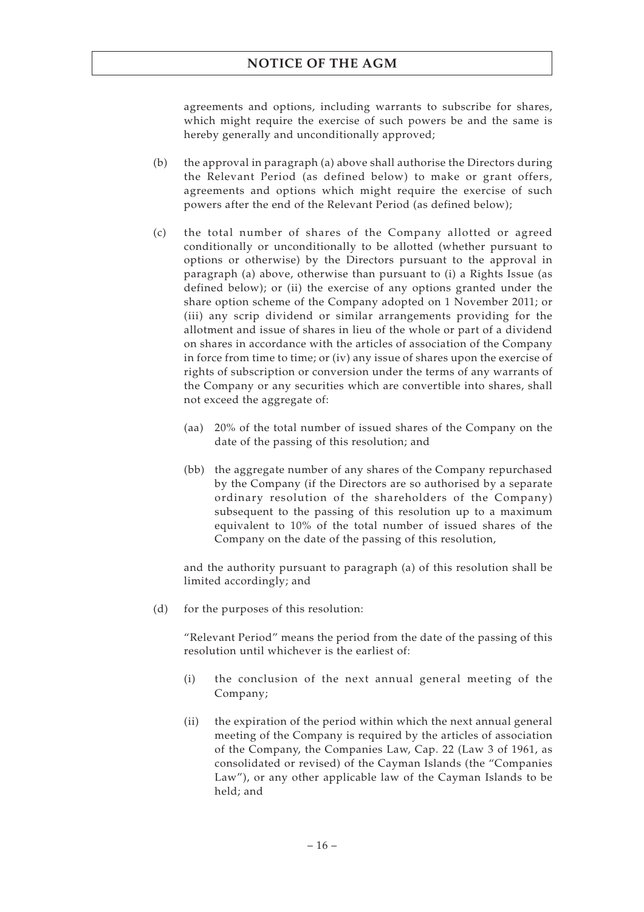# **NOTICE OF THE AGM**

agreements and options, including warrants to subscribe for shares, which might require the exercise of such powers be and the same is hereby generally and unconditionally approved;

- (b) the approval in paragraph (a) above shall authorise the Directors during the Relevant Period (as defined below) to make or grant offers, agreements and options which might require the exercise of such powers after the end of the Relevant Period (as defined below);
- (c) the total number of shares of the Company allotted or agreed conditionally or unconditionally to be allotted (whether pursuant to options or otherwise) by the Directors pursuant to the approval in paragraph (a) above, otherwise than pursuant to (i) a Rights Issue (as defined below); or (ii) the exercise of any options granted under the share option scheme of the Company adopted on 1 November 2011; or (iii) any scrip dividend or similar arrangements providing for the allotment and issue of shares in lieu of the whole or part of a dividend on shares in accordance with the articles of association of the Company in force from time to time; or (iv) any issue of shares upon the exercise of rights of subscription or conversion under the terms of any warrants of the Company or any securities which are convertible into shares, shall not exceed the aggregate of:
	- (aa) 20% of the total number of issued shares of the Company on the date of the passing of this resolution; and
	- (bb) the aggregate number of any shares of the Company repurchased by the Company (if the Directors are so authorised by a separate ordinary resolution of the shareholders of the Company) subsequent to the passing of this resolution up to a maximum equivalent to 10% of the total number of issued shares of the Company on the date of the passing of this resolution,

and the authority pursuant to paragraph (a) of this resolution shall be limited accordingly; and

(d) for the purposes of this resolution:

"Relevant Period" means the period from the date of the passing of this resolution until whichever is the earliest of:

- (i) the conclusion of the next annual general meeting of the Company;
- (ii) the expiration of the period within which the next annual general meeting of the Company is required by the articles of association of the Company, the Companies Law, Cap. 22 (Law 3 of 1961, as consolidated or revised) of the Cayman Islands (the "Companies Law"), or any other applicable law of the Cayman Islands to be held; and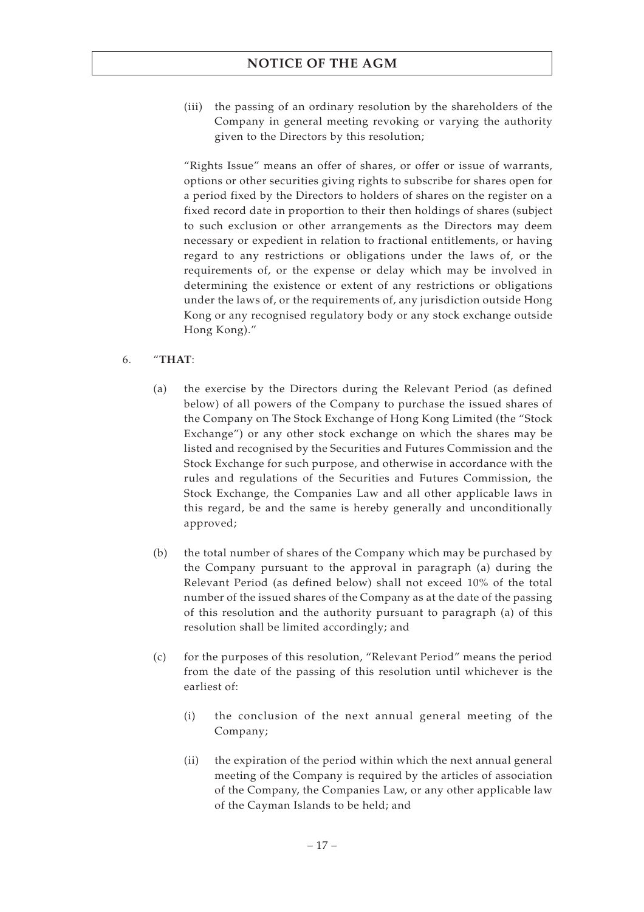(iii) the passing of an ordinary resolution by the shareholders of the Company in general meeting revoking or varying the authority given to the Directors by this resolution;

"Rights Issue" means an offer of shares, or offer or issue of warrants, options or other securities giving rights to subscribe for shares open for a period fixed by the Directors to holders of shares on the register on a fixed record date in proportion to their then holdings of shares (subject to such exclusion or other arrangements as the Directors may deem necessary or expedient in relation to fractional entitlements, or having regard to any restrictions or obligations under the laws of, or the requirements of, or the expense or delay which may be involved in determining the existence or extent of any restrictions or obligations under the laws of, or the requirements of, any jurisdiction outside Hong Kong or any recognised regulatory body or any stock exchange outside Hong Kong)."

- 6. "**THAT**:
	- (a) the exercise by the Directors during the Relevant Period (as defined below) of all powers of the Company to purchase the issued shares of the Company on The Stock Exchange of Hong Kong Limited (the "Stock Exchange") or any other stock exchange on which the shares may be listed and recognised by the Securities and Futures Commission and the Stock Exchange for such purpose, and otherwise in accordance with the rules and regulations of the Securities and Futures Commission, the Stock Exchange, the Companies Law and all other applicable laws in this regard, be and the same is hereby generally and unconditionally approved;
	- (b) the total number of shares of the Company which may be purchased by the Company pursuant to the approval in paragraph (a) during the Relevant Period (as defined below) shall not exceed 10% of the total number of the issued shares of the Company as at the date of the passing of this resolution and the authority pursuant to paragraph (a) of this resolution shall be limited accordingly; and
	- (c) for the purposes of this resolution, "Relevant Period" means the period from the date of the passing of this resolution until whichever is the earliest of:
		- (i) the conclusion of the next annual general meeting of the Company;
		- (ii) the expiration of the period within which the next annual general meeting of the Company is required by the articles of association of the Company, the Companies Law, or any other applicable law of the Cayman Islands to be held; and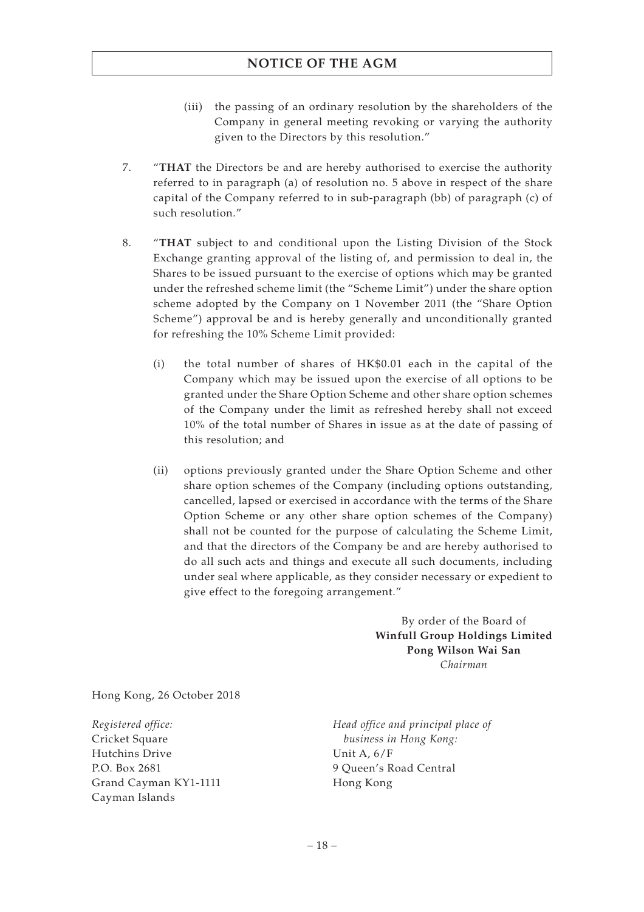- (iii) the passing of an ordinary resolution by the shareholders of the Company in general meeting revoking or varying the authority given to the Directors by this resolution."
- 7. "**THAT** the Directors be and are hereby authorised to exercise the authority referred to in paragraph (a) of resolution no. 5 above in respect of the share capital of the Company referred to in sub-paragraph (bb) of paragraph (c) of such resolution."
- 8. "**THAT** subject to and conditional upon the Listing Division of the Stock Exchange granting approval of the listing of, and permission to deal in, the Shares to be issued pursuant to the exercise of options which may be granted under the refreshed scheme limit (the "Scheme Limit") under the share option scheme adopted by the Company on 1 November 2011 (the "Share Option Scheme") approval be and is hereby generally and unconditionally granted for refreshing the 10% Scheme Limit provided:
	- (i) the total number of shares of HK\$0.01 each in the capital of the Company which may be issued upon the exercise of all options to be granted under the Share Option Scheme and other share option schemes of the Company under the limit as refreshed hereby shall not exceed 10% of the total number of Shares in issue as at the date of passing of this resolution; and
	- (ii) options previously granted under the Share Option Scheme and other share option schemes of the Company (including options outstanding, cancelled, lapsed or exercised in accordance with the terms of the Share Option Scheme or any other share option schemes of the Company) shall not be counted for the purpose of calculating the Scheme Limit, and that the directors of the Company be and are hereby authorised to do all such acts and things and execute all such documents, including under seal where applicable, as they consider necessary or expedient to give effect to the foregoing arrangement."

By order of the Board of **Winfull Group Holdings Limited Pong Wilson Wai San** *Chairman*

Hong Kong, 26 October 2018

*Registered office:* Cricket Square Hutchins Drive P.O. Box 2681 Grand Cayman KY1-1111 Cayman Islands

*Head office and principal place of business in Hong Kong:* Unit A, 6/F 9 Queen's Road Central Hong Kong